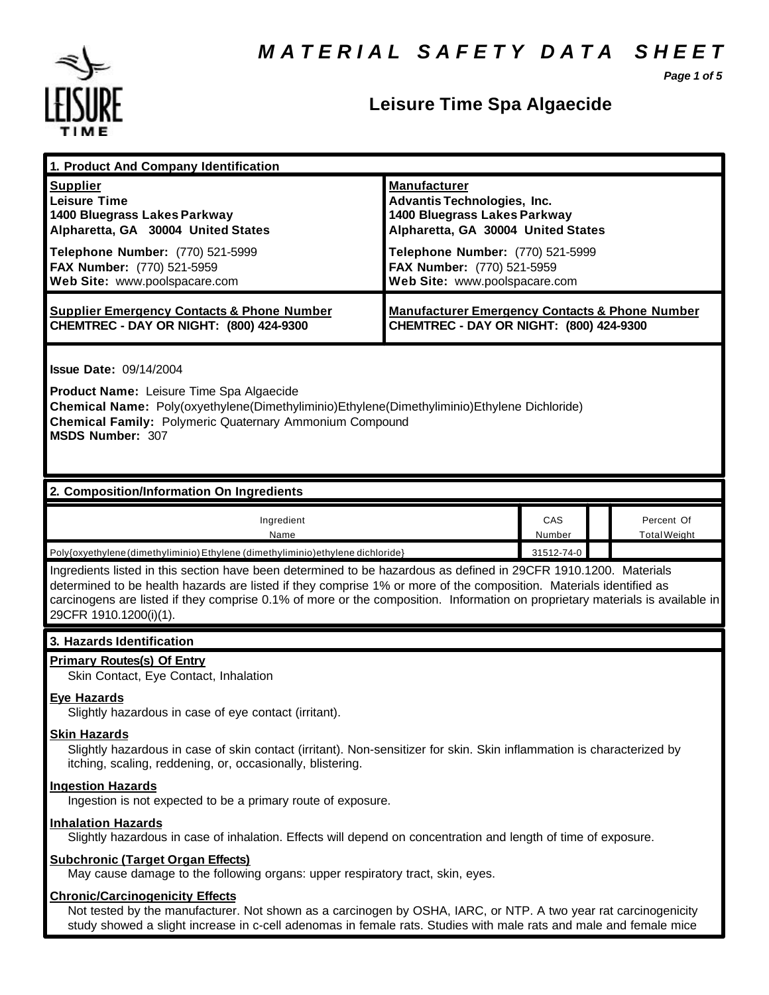

# **Leisure Time Spa Algaecide**

*Page 1 of 5*

| 1. Product And Company Identification                                                                                                                                                                                                                                                                                                                                                             |                                                                                                                                                                                                                                    |               |                                   |
|---------------------------------------------------------------------------------------------------------------------------------------------------------------------------------------------------------------------------------------------------------------------------------------------------------------------------------------------------------------------------------------------------|------------------------------------------------------------------------------------------------------------------------------------------------------------------------------------------------------------------------------------|---------------|-----------------------------------|
| <b>Supplier</b><br><b>Leisure Time</b><br>1400 Bluegrass Lakes Parkway<br>Alpharetta, GA 30004 United States<br>Telephone Number: (770) 521-5999<br>FAX Number: (770) 521-5959<br>Web Site: www.poolspacare.com                                                                                                                                                                                   | <b>Manufacturer</b><br><b>Advantis Technologies, Inc.</b><br>1400 Bluegrass Lakes Parkway<br>Alpharetta, GA 30004 United States<br>Telephone Number: (770) 521-5999<br>FAX Number: (770) 521-5959<br>Web Site: www.poolspacare.com |               |                                   |
| <b>Supplier Emergency Contacts &amp; Phone Number</b><br>CHEMTREC - DAY OR NIGHT: (800) 424-9300                                                                                                                                                                                                                                                                                                  | <b>Manufacturer Emergency Contacts &amp; Phone Number</b><br>CHEMTREC - DAY OR NIGHT: (800) 424-9300                                                                                                                               |               |                                   |
| <b>Issue Date: 09/14/2004</b><br>Product Name: Leisure Time Spa Algaecide<br>Chemical Name: Poly(oxyethylene(Dimethyliminio)Ethylene(Dimethyliminio)Ethylene Dichloride)<br><b>Chemical Family: Polymeric Quaternary Ammonium Compound</b><br><b>MSDS Number: 307</b>                                                                                                                             |                                                                                                                                                                                                                                    |               |                                   |
| 2. Composition/Information On Ingredients                                                                                                                                                                                                                                                                                                                                                         |                                                                                                                                                                                                                                    |               |                                   |
| Ingredient<br>Name                                                                                                                                                                                                                                                                                                                                                                                |                                                                                                                                                                                                                                    | CAS<br>Number | Percent Of<br><b>Total Weight</b> |
| Poly{oxyethylene (dimethyliminio) Ethylene (dimethyliminio) ethylene dichloride}<br>31512-74-0                                                                                                                                                                                                                                                                                                    |                                                                                                                                                                                                                                    |               |                                   |
| Ingredients listed in this section have been determined to be hazardous as defined in 29CFR 1910.1200. Materials<br>determined to be health hazards are listed if they comprise 1% or more of the composition. Materials identified as<br>carcinogens are listed if they comprise 0.1% of more or the composition. Information on proprietary materials is available in<br>29CFR 1910.1200(i)(1). |                                                                                                                                                                                                                                    |               |                                   |
| 3. Hazards Identification                                                                                                                                                                                                                                                                                                                                                                         |                                                                                                                                                                                                                                    |               |                                   |
| <b>Primary Routes(s) Of Entry</b><br>Skin Contact, Eye Contact, Inhalation                                                                                                                                                                                                                                                                                                                        |                                                                                                                                                                                                                                    |               |                                   |
| <b>Eye Hazards</b><br>Slightly hazardous in case of eye contact (irritant).                                                                                                                                                                                                                                                                                                                       |                                                                                                                                                                                                                                    |               |                                   |
| <b>Skin Hazards</b><br>Slightly hazardous in case of skin contact (irritant). Non-sensitizer for skin. Skin inflammation is characterized by<br>itching, scaling, reddening, or, occasionally, blistering.                                                                                                                                                                                        |                                                                                                                                                                                                                                    |               |                                   |
| <b>Ingestion Hazards</b><br>Ingestion is not expected to be a primary route of exposure.                                                                                                                                                                                                                                                                                                          |                                                                                                                                                                                                                                    |               |                                   |
| <b>Inhalation Hazards</b><br>Slightly hazardous in case of inhalation. Effects will depend on concentration and length of time of exposure.                                                                                                                                                                                                                                                       |                                                                                                                                                                                                                                    |               |                                   |
| <b>Subchronic (Target Organ Effects)</b><br>May cause damage to the following organs: upper respiratory tract, skin, eyes.                                                                                                                                                                                                                                                                        |                                                                                                                                                                                                                                    |               |                                   |
| <b>Chronic/Carcinogenicity Effects</b><br>Not tested by the manufacturer. Not shown as a carcinogen by OSHA, IARC, or NTP. A two year rat carcinogenicity<br>study showed a slight increase in c-cell adenomas in female rats. Studies with male rats and male and female mice                                                                                                                    |                                                                                                                                                                                                                                    |               |                                   |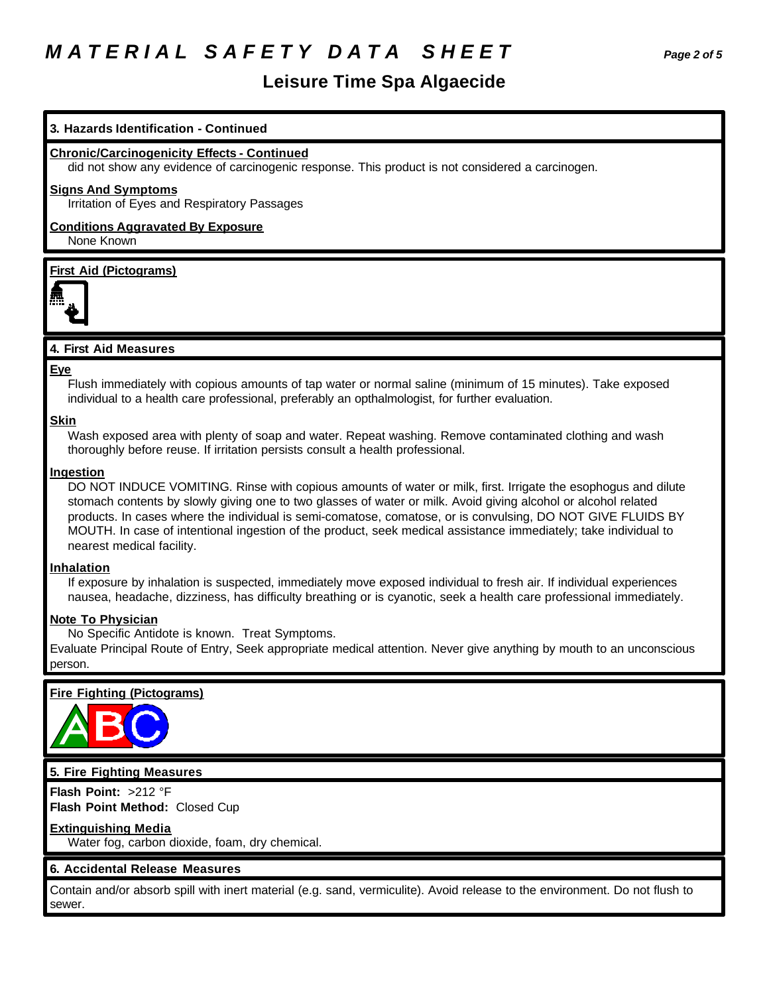# *M A T E R I A L S A F E T Y D A T A S H E E T Page 2 of 5*

## **Leisure Time Spa Algaecide**

### **3. Hazards Identification - Continued**

#### **Chronic/Carcinogenicity Effects - Continued**

did not show any evidence of carcinogenic response. This product is not considered a carcinogen.

#### **Signs And Symptoms**

Irritation of Eyes and Respiratory Passages

#### **Conditions Aggravated By Exposure** None Known

#### **First Aid (Pictograms)**



### **4. First Aid Measures**

#### **Eye**

Flush immediately with copious amounts of tap water or normal saline (minimum of 15 minutes). Take exposed individual to a health care professional, preferably an opthalmologist, for further evaluation.

#### **Skin**

Wash exposed area with plenty of soap and water. Repeat washing. Remove contaminated clothing and wash thoroughly before reuse. If irritation persists consult a health professional.

#### **Ingestion**

DO NOT INDUCE VOMITING. Rinse with copious amounts of water or milk, first. Irrigate the esophogus and dilute stomach contents by slowly giving one to two glasses of water or milk. Avoid giving alcohol or alcohol related products. In cases where the individual is semi-comatose, comatose, or is convulsing, DO NOT GIVE FLUIDS BY MOUTH. In case of intentional ingestion of the product, seek medical assistance immediately; take individual to nearest medical facility.

#### **Inhalation**

If exposure by inhalation is suspected, immediately move exposed individual to fresh air. If individual experiences nausea, headache, dizziness, has difficulty breathing or is cyanotic, seek a health care professional immediately.

#### **Note To Physician**

No Specific Antidote is known. Treat Symptoms.

Evaluate Principal Route of Entry, Seek appropriate medical attention. Never give anything by mouth to an unconscious person.

### **Fire Fighting (Pictograms)**



#### **5. Fire Fighting Measures**

**Flash Point:** >212 °F **Flash Point Method:** Closed Cup

#### **Extinguishing Media**

Water fog, carbon dioxide, foam, dry chemical.

### **6. Accidental Release Measures**

Contain and/or absorb spill with inert material (e.g. sand, vermiculite). Avoid release to the environment. Do not flush to sewer.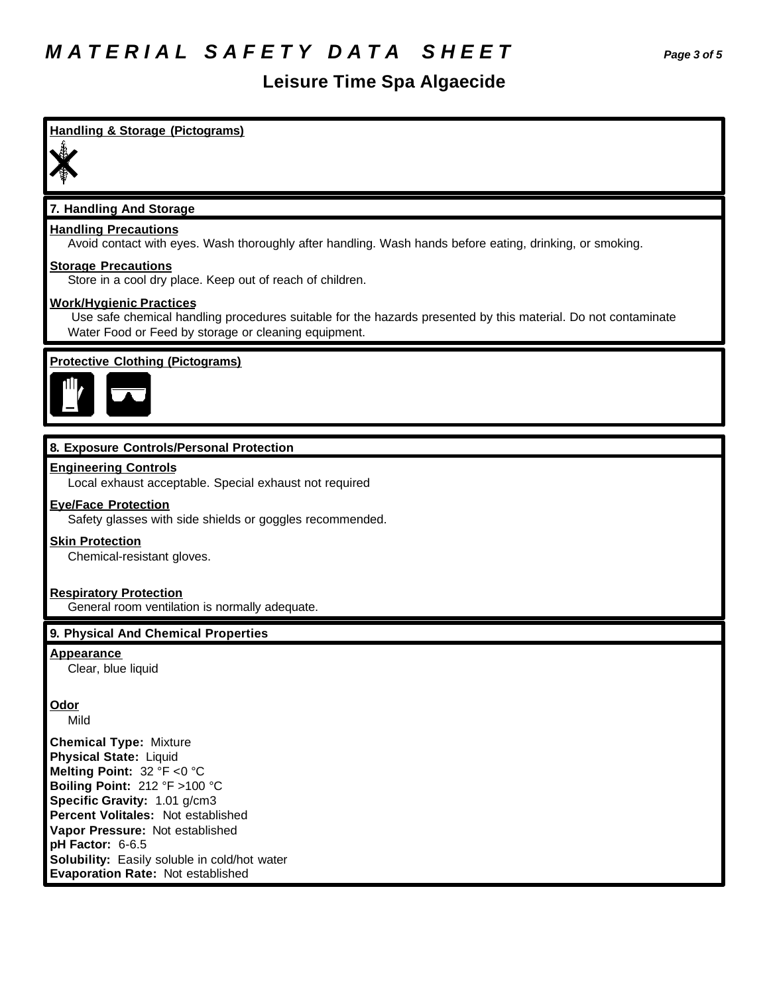## **Leisure Time Spa Algaecide**

# **Handling & Storage (Pictograms) 7. Handling And Storage Handling Precautions** Avoid contact with eyes. Wash thoroughly after handling. Wash hands before eating, drinking, or smoking. **Storage Precautions** Store in a cool dry place. Keep out of reach of children. **Work/Hygienic Practices** Use safe chemical handling procedures suitable for the hazards presented by this material. Do not contaminate Water Food or Feed by storage or cleaning equipment. **Protective Clothing (Pictograms) 8. Exposure Controls/Personal Protection Engineering Controls** Local exhaust acceptable. Special exhaust not required **Eye/Face Protection** Safety glasses with side shields or goggles recommended. **Skin Protection** Chemical-resistant gloves. **Respiratory Protection** General room ventilation is normally adequate. **9. Physical And Chemical Properties Appearance** Clear, blue liquid **Odor** Mild **Chemical Type:** Mixture **Physical State:** Liquid **Melting Point:** 32 °F <0 °C **Boiling Point:** 212 °F >100 °C **Specific Gravity:** 1.01 g/cm3 **Percent Volitales:** Not established **Vapor Pressure:** Not established **pH Factor:** 6-6.5 **Solubility:** Easily soluble in cold/hot water **Evaporation Rate:** Not established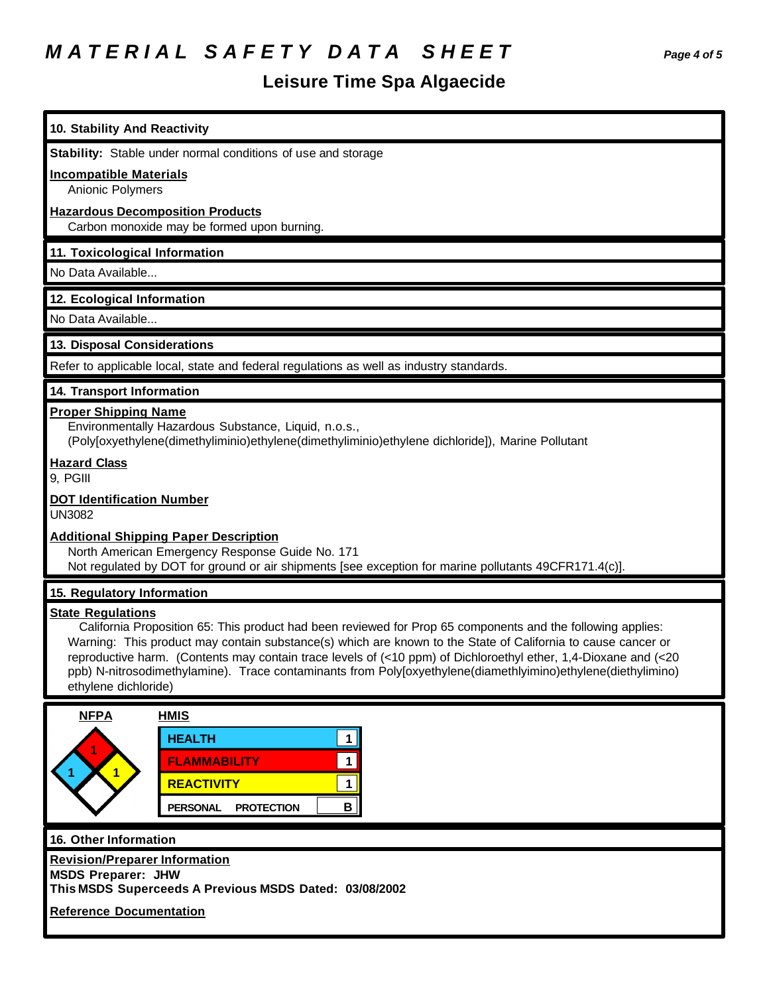# *M A T E R I A L S A F E T Y D A T A S H E E T Page 4 of 5*

# **Leisure Time Spa Algaecide**

| 10. Stability And Reactivity                                                                                                                                                                                                                                                                                                                                                                                                                                                                                       |
|--------------------------------------------------------------------------------------------------------------------------------------------------------------------------------------------------------------------------------------------------------------------------------------------------------------------------------------------------------------------------------------------------------------------------------------------------------------------------------------------------------------------|
| Stability: Stable under normal conditions of use and storage                                                                                                                                                                                                                                                                                                                                                                                                                                                       |
| <b>Incompatible Materials</b><br><b>Anionic Polymers</b>                                                                                                                                                                                                                                                                                                                                                                                                                                                           |
| <b>Hazardous Decomposition Products</b>                                                                                                                                                                                                                                                                                                                                                                                                                                                                            |
| Carbon monoxide may be formed upon burning.                                                                                                                                                                                                                                                                                                                                                                                                                                                                        |
| 11. Toxicological Information<br>No Data Available                                                                                                                                                                                                                                                                                                                                                                                                                                                                 |
|                                                                                                                                                                                                                                                                                                                                                                                                                                                                                                                    |
| 12. Ecological Information<br>No Data Available                                                                                                                                                                                                                                                                                                                                                                                                                                                                    |
|                                                                                                                                                                                                                                                                                                                                                                                                                                                                                                                    |
| 13. Disposal Considerations                                                                                                                                                                                                                                                                                                                                                                                                                                                                                        |
| Refer to applicable local, state and federal regulations as well as industry standards.                                                                                                                                                                                                                                                                                                                                                                                                                            |
| 14. Transport Information                                                                                                                                                                                                                                                                                                                                                                                                                                                                                          |
| <b>Proper Shipping Name</b><br>Environmentally Hazardous Substance, Liquid, n.o.s.,<br>(Poly[oxyethylene(dimethyliminio)ethylene(dimethyliminio)ethylene dichloride]), Marine Pollutant                                                                                                                                                                                                                                                                                                                            |
| <b>Hazard Class</b><br>9, PGIII                                                                                                                                                                                                                                                                                                                                                                                                                                                                                    |
| <b>DOT Identification Number</b><br><b>UN3082</b>                                                                                                                                                                                                                                                                                                                                                                                                                                                                  |
| <b>Additional Shipping Paper Description</b><br>North American Emergency Response Guide No. 171<br>Not regulated by DOT for ground or air shipments [see exception for marine pollutants 49CFR171.4(c)].                                                                                                                                                                                                                                                                                                           |
| 15. Regulatory Information                                                                                                                                                                                                                                                                                                                                                                                                                                                                                         |
| <b>State Regulations</b><br>California Proposition 65: This product had been reviewed for Prop 65 components and the following applies:<br>Warning: This product may contain substance(s) which are known to the State of California to cause cancer or<br>reproductive harm. (Contents may contain trace levels of (<10 ppm) of Dichloroethyl ether, 1,4-Dioxane and (<20<br>ppb) N-nitrosodimethylamine). Trace contaminants from Poly[oxyethylene(diamethlyimino)ethylene(diethylimino)<br>ethylene dichloride) |
| <b>NFPA</b><br><b>HMIS</b>                                                                                                                                                                                                                                                                                                                                                                                                                                                                                         |
| <b>HEALTH</b><br>1<br><b>FLAMMABILITY</b><br>$\mathbf{1}$<br>$\mathbf{1}$<br><b>REACTIVITY</b><br>1<br>B<br><b>PERSONAL</b><br><b>PROTECTION</b>                                                                                                                                                                                                                                                                                                                                                                   |
| 16. Other Information                                                                                                                                                                                                                                                                                                                                                                                                                                                                                              |
| <b>Revision/Preparer Information</b><br><b>MSDS Preparer: JHW</b><br>This MSDS Superceeds A Previous MSDS Dated: 03/08/2002                                                                                                                                                                                                                                                                                                                                                                                        |
| <b>Reference Documentation</b>                                                                                                                                                                                                                                                                                                                                                                                                                                                                                     |